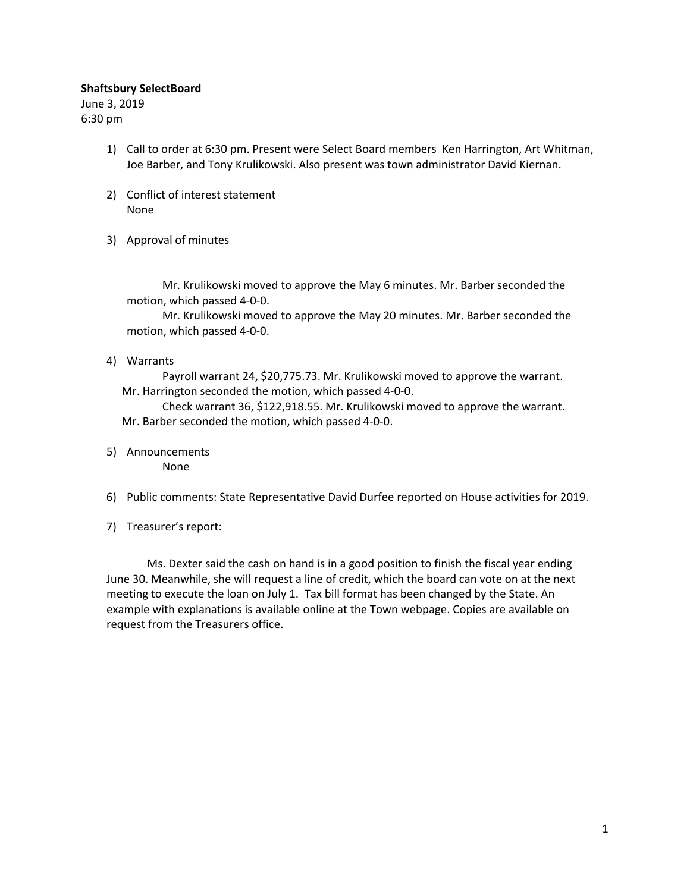## **Shaftsbury SelectBoard**

June 3, 2019 6:30 pm

- 1) Call to order at 6:30 pm. Present were Select Board members Ken Harrington, Art Whitman, Joe Barber, and Tony Krulikowski. Also present was town administrator David Kiernan.
- 2) Conflict of interest statement None
- 3) Approval of minutes

Mr. Krulikowski moved to approve the May 6 minutes. Mr. Barber seconded the motion, which passed 4-0-0.

Mr. Krulikowski moved to approve the May 20 minutes. Mr. Barber seconded the motion, which passed 4-0-0.

4) Warrants

Payroll warrant 24, \$20,775.73. Mr. Krulikowski moved to approve the warrant. Mr. Harrington seconded the motion, which passed 4-0-0.

Check warrant 36, \$122,918.55. Mr. Krulikowski moved to approve the warrant. Mr. Barber seconded the motion, which passed 4-0-0.

- 5) Announcements None
- 6) Public comments: State Representative David Durfee reported on House activities for 2019.
- 7) Treasurer's report:

Ms. Dexter said the cash on hand is in a good position to finish the fiscal year ending June 30. Meanwhile, she will request a line of credit, which the board can vote on at the next meeting to execute the loan on July 1. Tax bill format has been changed by the State. An example with explanations is available online at the Town webpage. Copies are available on request from the Treasurers office.